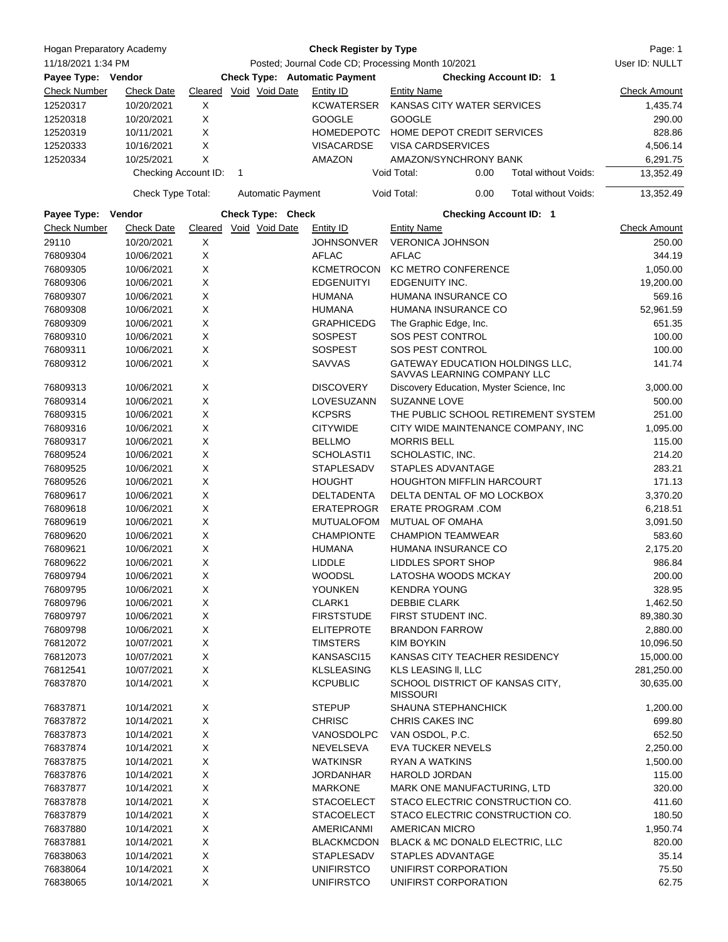| Hogan Preparatory Academy                |                      | <b>Check Register by Type</b><br>Posted; Journal Code CD; Processing Month 10/2021 |              |                          |                   |                               |                                                                |                                     | Page: 1<br>User ID: NULLT |
|------------------------------------------|----------------------|------------------------------------------------------------------------------------|--------------|--------------------------|-------------------|-------------------------------|----------------------------------------------------------------|-------------------------------------|---------------------------|
| 11/18/2021 1:34 PM<br>Payee Type: Vendor |                      | <b>Check Type: Automatic Payment</b>                                               |              |                          |                   | <b>Checking Account ID: 1</b> |                                                                |                                     |                           |
| <b>Check Number</b>                      | <b>Check Date</b>    |                                                                                    |              | Cleared Void Void Date   | Entity ID         | <b>Entity Name</b>            |                                                                |                                     | <b>Check Amount</b>       |
| 12520317                                 | 10/20/2021           | Χ                                                                                  |              |                          | <b>KCWATERSER</b> |                               | KANSAS CITY WATER SERVICES                                     |                                     | 1,435.74                  |
| 12520318                                 | 10/20/2021           | X                                                                                  |              |                          | <b>GOOGLE</b>     | <b>GOOGLE</b>                 |                                                                |                                     | 290.00                    |
| 12520319                                 | 10/11/2021           | X                                                                                  |              |                          | <b>HOMEDEPOTC</b> |                               | HOME DEPOT CREDIT SERVICES                                     |                                     | 828.86                    |
| 12520333                                 | 10/16/2021           | X                                                                                  |              |                          | <b>VISACARDSE</b> |                               | <b>VISA CARDSERVICES</b>                                       |                                     | 4,506.14                  |
| 12520334                                 | 10/25/2021           | X                                                                                  |              |                          | AMAZON            |                               | AMAZON/SYNCHRONY BANK                                          |                                     | 6,291.75                  |
|                                          | Checking Account ID: |                                                                                    | $\mathbf{1}$ |                          |                   | Void Total:                   | 0.00                                                           | Total without Voids:                | 13,352.49                 |
|                                          | Check Type Total:    |                                                                                    |              | <b>Automatic Payment</b> |                   | Void Total:                   | 0.00                                                           | Total without Voids:                | 13,352.49                 |
| Payee Type: Vendor                       |                      |                                                                                    |              | Check Type: Check        |                   |                               | <b>Checking Account ID: 1</b>                                  |                                     |                           |
| <b>Check Number</b>                      | <b>Check Date</b>    | Cleared                                                                            |              | Void Void Date           | Entity ID         | <b>Entity Name</b>            |                                                                |                                     | <b>Check Amount</b>       |
| 29110                                    | 10/20/2021           | X                                                                                  |              |                          | JOHNSONVER        |                               | <b>VERONICA JOHNSON</b>                                        |                                     | 250.00                    |
| 76809304                                 | 10/06/2021           | X                                                                                  |              |                          | <b>AFLAC</b>      | <b>AFLAC</b>                  |                                                                |                                     | 344.19                    |
| 76809305                                 | 10/06/2021           | X                                                                                  |              |                          | <b>KCMETROCON</b> |                               | <b>KC METRO CONFERENCE</b>                                     |                                     | 1,050.00                  |
| 76809306                                 | 10/06/2021           | X                                                                                  |              |                          | <b>EDGENUITYI</b> | EDGENUITY INC.                |                                                                |                                     | 19,200.00                 |
| 76809307                                 | 10/06/2021           | X                                                                                  |              |                          | <b>HUMANA</b>     |                               | HUMANA INSURANCE CO                                            |                                     | 569.16                    |
| 76809308                                 | 10/06/2021           | X                                                                                  |              |                          | <b>HUMANA</b>     |                               | HUMANA INSURANCE CO                                            |                                     | 52,961.59                 |
| 76809309                                 | 10/06/2021           | X                                                                                  |              |                          | <b>GRAPHICEDG</b> |                               | The Graphic Edge, Inc.                                         |                                     | 651.35                    |
| 76809310                                 | 10/06/2021           | X                                                                                  |              |                          | SOSPEST           |                               | SOS PEST CONTROL                                               |                                     | 100.00                    |
| 76809311                                 | 10/06/2021           | X                                                                                  |              |                          | <b>SOSPEST</b>    |                               | SOS PEST CONTROL                                               |                                     | 100.00                    |
| 76809312                                 | 10/06/2021           | X                                                                                  |              |                          | <b>SAVVAS</b>     |                               | GATEWAY EDUCATION HOLDINGS LLC,<br>SAVVAS LEARNING COMPANY LLC |                                     | 141.74                    |
| 76809313                                 | 10/06/2021           | X                                                                                  |              |                          | <b>DISCOVERY</b>  |                               | Discovery Education, Myster Science, Inc.                      |                                     | 3,000.00                  |
| 76809314                                 | 10/06/2021           | X                                                                                  |              |                          | LOVESUZANN        | <b>SUZANNE LOVE</b>           |                                                                |                                     | 500.00                    |
| 76809315                                 | 10/06/2021           | X                                                                                  |              |                          | <b>KCPSRS</b>     |                               |                                                                | THE PUBLIC SCHOOL RETIREMENT SYSTEM | 251.00                    |
| 76809316                                 | 10/06/2021           | Х                                                                                  |              |                          | <b>CITYWIDE</b>   |                               |                                                                | CITY WIDE MAINTENANCE COMPANY, INC  | 1,095.00                  |
| 76809317                                 | 10/06/2021           | X                                                                                  |              |                          | <b>BELLMO</b>     | <b>MORRIS BELL</b>            |                                                                |                                     | 115.00                    |
| 76809524                                 | 10/06/2021           | X                                                                                  |              |                          | SCHOLASTI1        | SCHOLASTIC, INC.              |                                                                |                                     | 214.20                    |
| 76809525                                 | 10/06/2021           | X                                                                                  |              |                          | <b>STAPLESADV</b> |                               | STAPLES ADVANTAGE                                              |                                     | 283.21                    |
| 76809526                                 | 10/06/2021           | X                                                                                  |              |                          | <b>HOUGHT</b>     |                               | HOUGHTON MIFFLIN HARCOURT                                      |                                     | 171.13                    |
| 76809617                                 | 10/06/2021           | X                                                                                  |              |                          | DELTADENTA        |                               | DELTA DENTAL OF MO LOCKBOX                                     |                                     | 3,370.20                  |
| 76809618                                 | 10/06/2021           | X                                                                                  |              |                          | ERATEPROGR        |                               | <b>ERATE PROGRAM .COM</b>                                      |                                     | 6,218.51                  |
| 76809619                                 | 10/06/2021           | X                                                                                  |              |                          | MUTUALOFOM        |                               | <b>MUTUAL OF OMAHA</b>                                         |                                     | 3,091.50                  |
| 76809620                                 | 10/06/2021           | X                                                                                  |              |                          | <b>CHAMPIONTE</b> |                               | <b>CHAMPION TEAMWEAR</b>                                       |                                     | 583.60                    |
| 76809621                                 | 10/06/2021           | X                                                                                  |              |                          | <b>HUMANA</b>     |                               | HUMANA INSURANCE CO                                            |                                     | 2,175.20                  |
| 76809622                                 | 10/06/2021           | X                                                                                  |              |                          | LIDDLE            |                               | <b>LIDDLES SPORT SHOP</b>                                      |                                     | 986.84                    |
|                                          |                      |                                                                                    |              |                          |                   |                               |                                                                |                                     |                           |
| 76809794                                 | 10/06/2021           | х                                                                                  |              |                          | WOODSL            |                               | LATOSHA WOODS MCKAY                                            |                                     | 200.00                    |
| 76809795                                 | 10/06/2021           | X                                                                                  |              |                          | YOUNKEN           | <b>KENDRA YOUNG</b>           |                                                                |                                     | 328.95                    |
| 76809796                                 | 10/06/2021           | X                                                                                  |              |                          | CLARK1            | <b>DEBBIE CLARK</b>           |                                                                |                                     | 1,462.50                  |
| 76809797                                 | 10/06/2021           | X                                                                                  |              |                          | <b>FIRSTSTUDE</b> |                               | FIRST STUDENT INC.                                             |                                     | 89,380.30                 |
| 76809798                                 | 10/06/2021           | X                                                                                  |              |                          | <b>ELITEPROTE</b> |                               | <b>BRANDON FARROW</b>                                          |                                     | 2,880.00                  |
| 76812072                                 | 10/07/2021           | X                                                                                  |              |                          | <b>TIMSTERS</b>   | <b>KIM BOYKIN</b>             |                                                                |                                     | 10,096.50                 |
| 76812073                                 | 10/07/2021           | X                                                                                  |              |                          | KANSASCI15        |                               | KANSAS CITY TEACHER RESIDENCY                                  |                                     | 15,000.00                 |
| 76812541                                 | 10/07/2021           | X                                                                                  |              |                          | <b>KLSLEASING</b> |                               | KLS LEASING II, LLC                                            |                                     | 281,250.00                |
| 76837870                                 | 10/14/2021           | X                                                                                  |              |                          | <b>KCPUBLIC</b>   | <b>MISSOURI</b>               | SCHOOL DISTRICT OF KANSAS CITY,                                |                                     | 30,635.00                 |
| 76837871                                 | 10/14/2021           | X                                                                                  |              |                          | <b>STEPUP</b>     |                               | SHAUNA STEPHANCHICK                                            |                                     | 1,200.00                  |
| 76837872                                 | 10/14/2021           | X                                                                                  |              |                          | <b>CHRISC</b>     | <b>CHRIS CAKES INC</b>        |                                                                |                                     | 699.80                    |
| 76837873                                 | 10/14/2021           | X                                                                                  |              |                          | VANOSDOLPC        | VAN OSDOL, P.C.               |                                                                |                                     | 652.50                    |
| 76837874                                 | 10/14/2021           | X                                                                                  |              |                          | NEVELSEVA         |                               | <b>EVA TUCKER NEVELS</b>                                       |                                     | 2,250.00                  |
| 76837875                                 | 10/14/2021           | X                                                                                  |              |                          | <b>WATKINSR</b>   | <b>RYAN A WATKINS</b>         |                                                                |                                     | 1,500.00                  |
| 76837876                                 | 10/14/2021           | X                                                                                  |              |                          | JORDANHAR         | HAROLD JORDAN                 |                                                                |                                     | 115.00                    |
| 76837877                                 | 10/14/2021           | X                                                                                  |              |                          | <b>MARKONE</b>    |                               | MARK ONE MANUFACTURING, LTD                                    |                                     | 320.00                    |
| 76837878                                 | 10/14/2021           | X                                                                                  |              |                          | <b>STACOELECT</b> |                               | STACO ELECTRIC CONSTRUCTION CO.                                |                                     | 411.60                    |
| 76837879                                 | 10/14/2021           | X                                                                                  |              |                          | <b>STACOELECT</b> |                               | STACO ELECTRIC CONSTRUCTION CO.                                |                                     | 180.50                    |
| 76837880                                 | 10/14/2021           | X                                                                                  |              |                          | AMERICANMI        | AMERICAN MICRO                |                                                                |                                     | 1,950.74                  |
| 76837881                                 | 10/14/2021           | X                                                                                  |              |                          | <b>BLACKMCDON</b> |                               | BLACK & MC DONALD ELECTRIC, LLC                                |                                     | 820.00                    |
| 76838063                                 | 10/14/2021           | X                                                                                  |              |                          | STAPLESADV        |                               | STAPLES ADVANTAGE                                              |                                     | 35.14                     |
| 76838064                                 | 10/14/2021           | X                                                                                  |              |                          | <b>UNIFIRSTCO</b> |                               | UNIFIRST CORPORATION                                           |                                     | 75.50                     |
| 76838065                                 | 10/14/2021           | X                                                                                  |              |                          | <b>UNIFIRSTCO</b> |                               | UNIFIRST CORPORATION                                           |                                     | 62.75                     |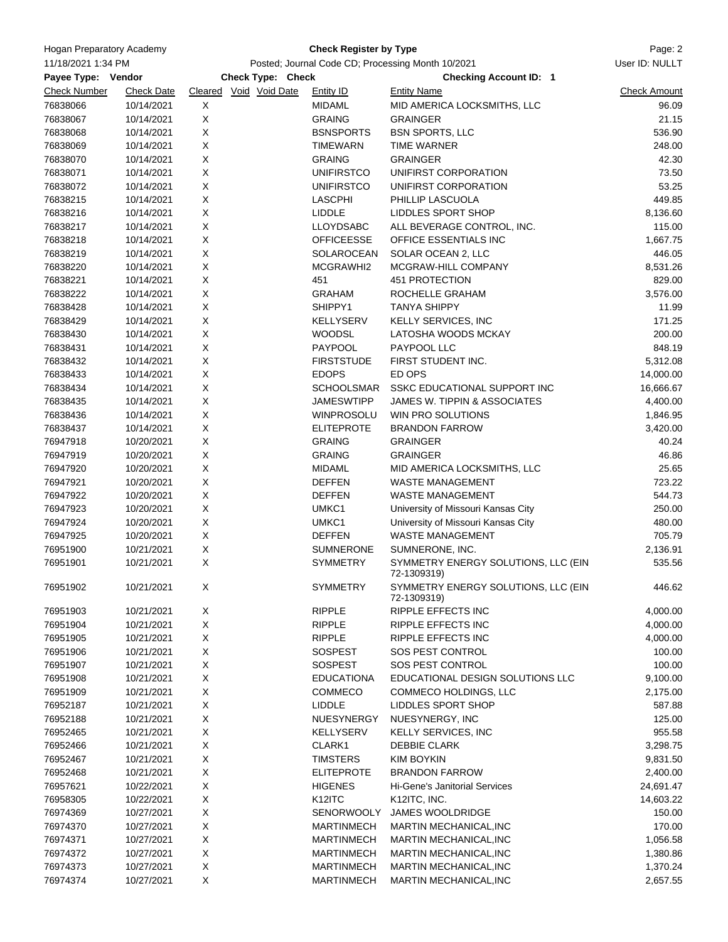| <b>Hogan Preparatory Academy</b><br>11/18/2021 1:34 PM<br>Payee Type: Vendor |                   |                                                   | Page: 2             |                                                    |                     |
|------------------------------------------------------------------------------|-------------------|---------------------------------------------------|---------------------|----------------------------------------------------|---------------------|
|                                                                              |                   | Posted; Journal Code CD; Processing Month 10/2021 | User ID: NULLT      |                                                    |                     |
|                                                                              |                   | Check Type: Check                                 |                     | <b>Checking Account ID: 1</b>                      |                     |
| <b>Check Number</b>                                                          | <b>Check Date</b> | Cleared Void Void Date                            | <b>Entity ID</b>    | <b>Entity Name</b>                                 | <b>Check Amount</b> |
| 76838066                                                                     | 10/14/2021        | Χ                                                 | <b>MIDAML</b>       | MID AMERICA LOCKSMITHS, LLC                        | 96.09               |
| 76838067                                                                     | 10/14/2021        | X                                                 | <b>GRAING</b>       | <b>GRAINGER</b>                                    | 21.15               |
| 76838068                                                                     | 10/14/2021        | X                                                 | <b>BSNSPORTS</b>    | <b>BSN SPORTS, LLC</b>                             | 536.90              |
| 76838069                                                                     | 10/14/2021        | X                                                 | <b>TIMEWARN</b>     | <b>TIME WARNER</b>                                 | 248.00              |
| 76838070                                                                     | 10/14/2021        | X                                                 | <b>GRAING</b>       | <b>GRAINGER</b>                                    | 42.30               |
| 76838071                                                                     | 10/14/2021        | X                                                 | <b>UNIFIRSTCO</b>   | UNIFIRST CORPORATION                               | 73.50               |
| 76838072                                                                     | 10/14/2021        | Χ                                                 | <b>UNIFIRSTCO</b>   | UNIFIRST CORPORATION                               | 53.25               |
| 76838215                                                                     | 10/14/2021        | X                                                 | <b>LASCPHI</b>      | PHILLIP LASCUOLA                                   | 449.85              |
| 76838216                                                                     | 10/14/2021        | X                                                 | <b>LIDDLE</b>       | LIDDLES SPORT SHOP                                 | 8,136.60            |
| 76838217                                                                     | 10/14/2021        | X                                                 | <b>LLOYDSABC</b>    | ALL BEVERAGE CONTROL, INC.                         | 115.00              |
| 76838218                                                                     | 10/14/2021        | X                                                 | <b>OFFICEESSE</b>   | OFFICE ESSENTIALS INC                              | 1,667.75            |
| 76838219                                                                     | 10/14/2021        | $\mathsf X$                                       | SOLAROCEAN          | SOLAR OCEAN 2, LLC                                 | 446.05              |
| 76838220                                                                     | 10/14/2021        | X                                                 | MCGRAWHI2           | MCGRAW-HILL COMPANY                                | 8,531.26            |
| 76838221                                                                     | 10/14/2021        | X                                                 | 451                 | 451 PROTECTION                                     | 829.00              |
| 76838222                                                                     | 10/14/2021        | X                                                 | <b>GRAHAM</b>       | ROCHELLE GRAHAM                                    | 3,576.00            |
| 76838428                                                                     | 10/14/2021        | Χ                                                 | SHIPPY1             | <b>TANYA SHIPPY</b>                                | 11.99               |
|                                                                              |                   | X                                                 |                     |                                                    |                     |
| 76838429                                                                     | 10/14/2021        |                                                   | KELLYSERV           | <b>KELLY SERVICES, INC</b>                         | 171.25              |
| 76838430                                                                     | 10/14/2021        | X                                                 | <b>WOODSL</b>       | LATOSHA WOODS MCKAY                                | 200.00              |
| 76838431                                                                     | 10/14/2021        | X                                                 | PAYPOOL             | PAYPOOL LLC                                        | 848.19              |
| 76838432                                                                     | 10/14/2021        | X                                                 | <b>FIRSTSTUDE</b>   | FIRST STUDENT INC.                                 | 5,312.08            |
| 76838433                                                                     | 10/14/2021        | X                                                 | <b>EDOPS</b>        | ED OPS                                             | 14,000.00           |
| 76838434                                                                     | 10/14/2021        | X                                                 | SCHOOLSMAR          | SSKC EDUCATIONAL SUPPORT INC                       | 16,666.67           |
| 76838435                                                                     | 10/14/2021        | X                                                 | <b>JAMESWTIPP</b>   | JAMES W. TIPPIN & ASSOCIATES                       | 4,400.00            |
| 76838436                                                                     | 10/14/2021        | Χ                                                 | WINPROSOLU          | WIN PRO SOLUTIONS                                  | 1,846.95            |
| 76838437                                                                     | 10/14/2021        | X                                                 | <b>ELITEPROTE</b>   | <b>BRANDON FARROW</b>                              | 3,420.00            |
| 76947918                                                                     | 10/20/2021        | X                                                 | <b>GRAING</b>       | <b>GRAINGER</b>                                    | 40.24               |
| 76947919                                                                     | 10/20/2021        | X                                                 | <b>GRAING</b>       | <b>GRAINGER</b>                                    | 46.86               |
| 76947920                                                                     | 10/20/2021        | X                                                 | MIDAML              | MID AMERICA LOCKSMITHS, LLC                        | 25.65               |
| 76947921                                                                     | 10/20/2021        | X                                                 | DEFFEN              | <b>WASTE MANAGEMENT</b>                            | 723.22              |
| 76947922                                                                     | 10/20/2021        | X                                                 | <b>DEFFEN</b>       | <b>WASTE MANAGEMENT</b>                            | 544.73              |
| 76947923                                                                     | 10/20/2021        | X                                                 | UMKC1               | University of Missouri Kansas City                 | 250.00              |
| 76947924                                                                     | 10/20/2021        | X                                                 | UMKC1               | University of Missouri Kansas City                 | 480.00              |
| 76947925                                                                     | 10/20/2021        | Χ                                                 | <b>DEFFEN</b>       | <b>WASTE MANAGEMENT</b>                            | 705.79              |
| 76951900                                                                     | 10/21/2021        | X                                                 | <b>SUMNERONE</b>    | SUMNERONE, INC.                                    | 2,136.91            |
| 76951901                                                                     | 10/21/2021        | X                                                 | SYMMETRY            | SYMMETRY ENERGY SOLUTIONS, LLC (EIN<br>72-1309319) | 535.56              |
| 76951902                                                                     | 10/21/2021        | X                                                 | <b>SYMMETRY</b>     | SYMMETRY ENERGY SOLUTIONS, LLC (EIN<br>72-1309319) | 446.62              |
| 76951903                                                                     | 10/21/2021        | X                                                 | <b>RIPPLE</b>       | RIPPLE EFFECTS INC                                 | 4,000.00            |
| 76951904                                                                     | 10/21/2021        | X                                                 | <b>RIPPLE</b>       | RIPPLE EFFECTS INC                                 | 4,000.00            |
| 76951905                                                                     | 10/21/2021        | X                                                 | <b>RIPPLE</b>       | RIPPLE EFFECTS INC                                 | 4,000.00            |
| 76951906                                                                     | 10/21/2021        | X                                                 | <b>SOSPEST</b>      | SOS PEST CONTROL                                   | 100.00              |
| 76951907                                                                     | 10/21/2021        | X                                                 | <b>SOSPEST</b>      | SOS PEST CONTROL                                   | 100.00              |
| 76951908                                                                     | 10/21/2021        | X                                                 | <b>EDUCATIONA</b>   | EDUCATIONAL DESIGN SOLUTIONS LLC                   | 9,100.00            |
| 76951909                                                                     | 10/21/2021        | X                                                 | COMMECO             | COMMECO HOLDINGS, LLC                              | 2,175.00            |
| 76952187                                                                     | 10/21/2021        | X                                                 | LIDDLE              | LIDDLES SPORT SHOP                                 | 587.88              |
| 76952188                                                                     | 10/21/2021        | X                                                 | NUESYNERGY          | NUESYNERGY, INC                                    | 125.00              |
| 76952465                                                                     | 10/21/2021        | X                                                 | KELLYSERV           | <b>KELLY SERVICES, INC</b>                         | 955.58              |
| 76952466                                                                     | 10/21/2021        | X                                                 | CLARK1              | <b>DEBBIE CLARK</b>                                | 3,298.75            |
| 76952467                                                                     | 10/21/2021        | X                                                 | <b>TIMSTERS</b>     | <b>KIM BOYKIN</b>                                  | 9,831.50            |
| 76952468                                                                     | 10/21/2021        | X                                                 | <b>ELITEPROTE</b>   | <b>BRANDON FARROW</b>                              | 2,400.00            |
| 76957621                                                                     | 10/22/2021        | X                                                 | <b>HIGENES</b>      | Hi-Gene's Janitorial Services                      | 24,691.47           |
| 76958305                                                                     | 10/22/2021        | X                                                 | K <sub>12</sub> ITC | K12ITC, INC.                                       | 14,603.22           |
| 76974369                                                                     | 10/27/2021        | X                                                 | <b>SENORWOOLY</b>   | JAMES WOOLDRIDGE                                   | 150.00              |
| 76974370                                                                     | 10/27/2021        | X                                                 | <b>MARTINMECH</b>   | MARTIN MECHANICAL, INC                             | 170.00              |
| 76974371                                                                     | 10/27/2021        | X                                                 | <b>MARTINMECH</b>   | MARTIN MECHANICAL, INC                             | 1,056.58            |
| 76974372                                                                     | 10/27/2021        | X                                                 | <b>MARTINMECH</b>   | MARTIN MECHANICAL, INC                             | 1,380.86            |
| 76974373                                                                     | 10/27/2021        | X                                                 | <b>MARTINMECH</b>   | MARTIN MECHANICAL, INC                             | 1,370.24            |
| 76974374                                                                     | 10/27/2021        | X                                                 | <b>MARTINMECH</b>   | MARTIN MECHANICAL, INC                             | 2,657.55            |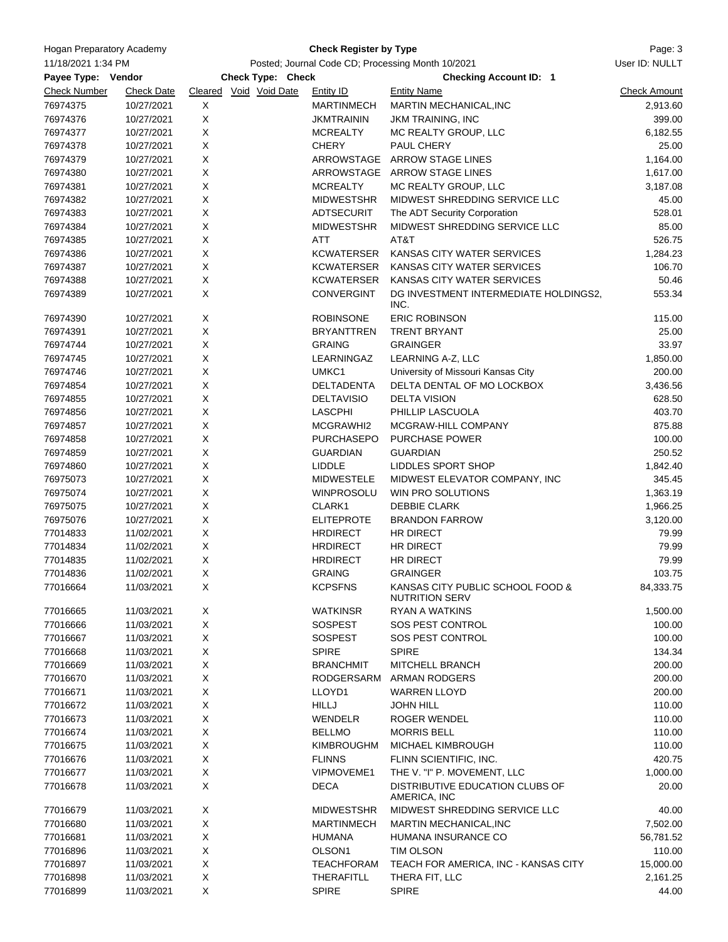| <b>Hogan Preparatory Academy</b>         |                   |                                                   | <b>Check Register by Type</b> |                                                           | Page: 3             |
|------------------------------------------|-------------------|---------------------------------------------------|-------------------------------|-----------------------------------------------------------|---------------------|
| 11/18/2021 1:34 PM<br>Payee Type: Vendor |                   | Posted; Journal Code CD; Processing Month 10/2021 | User ID: NULLT                |                                                           |                     |
|                                          |                   | Check Type: Check                                 |                               |                                                           |                     |
| <b>Check Number</b>                      | <b>Check Date</b> | Cleared Void Void Date                            | <b>Entity ID</b>              | <b>Checking Account ID: 1</b><br><b>Entity Name</b>       | <b>Check Amount</b> |
| 76974375                                 | 10/27/2021        | X                                                 | <b>MARTINMECH</b>             | MARTIN MECHANICAL, INC                                    | 2,913.60            |
| 76974376                                 | 10/27/2021        | X                                                 | <b>JKMTRAININ</b>             | <b>JKM TRAINING, INC</b>                                  | 399.00              |
| 76974377                                 | 10/27/2021        | X                                                 | <b>MCREALTY</b>               | MC REALTY GROUP, LLC                                      | 6,182.55            |
| 76974378                                 | 10/27/2021        | X                                                 | <b>CHERY</b>                  | PAUL CHERY                                                | 25.00               |
| 76974379                                 | 10/27/2021        | X                                                 |                               | ARROWSTAGE ARROW STAGE LINES                              | 1,164.00            |
| 76974380                                 | 10/27/2021        | X                                                 |                               | ARROWSTAGE ARROW STAGE LINES                              | 1,617.00            |
| 76974381                                 | 10/27/2021        | X                                                 | <b>MCREALTY</b>               | MC REALTY GROUP, LLC                                      | 3,187.08            |
| 76974382                                 | 10/27/2021        | X                                                 | <b>MIDWESTSHR</b>             | MIDWEST SHREDDING SERVICE LLC                             | 45.00               |
| 76974383                                 | 10/27/2021        | X                                                 | ADTSECURIT                    | The ADT Security Corporation                              | 528.01              |
| 76974384                                 | 10/27/2021        | X                                                 | <b>MIDWESTSHR</b>             | MIDWEST SHREDDING SERVICE LLC                             | 85.00               |
| 76974385                                 | 10/27/2021        | X                                                 | ATT                           | AT&T                                                      | 526.75              |
| 76974386                                 | 10/27/2021        | X                                                 | KCWATERSER                    | KANSAS CITY WATER SERVICES                                | 1,284.23            |
| 76974387                                 | 10/27/2021        | X                                                 | KCWATERSER                    | KANSAS CITY WATER SERVICES                                | 106.70              |
| 76974388                                 | 10/27/2021        | X                                                 | KCWATERSER                    | KANSAS CITY WATER SERVICES                                | 50.46               |
| 76974389                                 | 10/27/2021        | X                                                 | <b>CONVERGINT</b>             | DG INVESTMENT INTERMEDIATE HOLDINGS2,                     | 553.34              |
|                                          |                   |                                                   |                               | INC.                                                      |                     |
| 76974390                                 | 10/27/2021        | X                                                 | <b>ROBINSONE</b>              | <b>ERIC ROBINSON</b>                                      | 115.00              |
| 76974391                                 | 10/27/2021        | X                                                 | <b>BRYANTTREN</b>             | <b>TRENT BRYANT</b>                                       | 25.00               |
| 76974744                                 | 10/27/2021        | X                                                 | <b>GRAING</b>                 | <b>GRAINGER</b>                                           | 33.97               |
| 76974745                                 | 10/27/2021        | X                                                 | LEARNINGAZ                    | LEARNING A-Z, LLC                                         | 1,850.00            |
| 76974746                                 | 10/27/2021        | X                                                 | UMKC1                         | University of Missouri Kansas City                        | 200.00              |
| 76974854                                 | 10/27/2021        | X                                                 | DELTADENTA                    | DELTA DENTAL OF MO LOCKBOX                                | 3,436.56            |
| 76974855                                 | 10/27/2021        | X                                                 | <b>DELTAVISIO</b>             | <b>DELTA VISION</b>                                       | 628.50              |
| 76974856                                 | 10/27/2021        | X                                                 | <b>LASCPHI</b>                | PHILLIP LASCUOLA                                          | 403.70              |
| 76974857                                 | 10/27/2021        | X                                                 | MCGRAWHI2                     | MCGRAW-HILL COMPANY                                       | 875.88              |
| 76974858                                 | 10/27/2021        | X                                                 | <b>PURCHASEPO</b>             | <b>PURCHASE POWER</b>                                     | 100.00              |
| 76974859                                 | 10/27/2021        | X                                                 | <b>GUARDIAN</b>               | <b>GUARDIAN</b>                                           | 250.52              |
| 76974860                                 | 10/27/2021        | X                                                 | <b>LIDDLE</b>                 | LIDDLES SPORT SHOP                                        | 1,842.40            |
| 76975073                                 | 10/27/2021        | X                                                 | <b>MIDWESTELE</b>             | MIDWEST ELEVATOR COMPANY, INC                             | 345.45              |
| 76975074                                 | 10/27/2021        | X                                                 | <b>WINPROSOLU</b>             | WIN PRO SOLUTIONS                                         | 1,363.19            |
| 76975075                                 | 10/27/2021        | X                                                 | CLARK1                        | <b>DEBBIE CLARK</b>                                       | 1,966.25            |
| 76975076                                 | 10/27/2021        | X                                                 | <b>ELITEPROTE</b>             | <b>BRANDON FARROW</b>                                     | 3,120.00            |
| 77014833                                 | 11/02/2021        | X                                                 | <b>HRDIRECT</b>               | HR DIRECT                                                 | 79.99               |
| 77014834                                 | 11/02/2021        | X                                                 | <b>HRDIRECT</b>               | HR DIRECT                                                 | 79.99               |
| 77014835                                 | 11/02/2021        | X                                                 | <b>HRDIRECT</b>               | <b>HR DIRECT</b>                                          | 79.99               |
| 77014836                                 | 11/02/2021        | $\mathsf X$                                       | <b>GRAING</b>                 | <b>GRAINGER</b>                                           | 103.75              |
| 77016664                                 | 11/03/2021        | Χ                                                 | <b>KCPSFNS</b>                | KANSAS CITY PUBLIC SCHOOL FOOD &<br><b>NUTRITION SERV</b> | 84,333.75           |
| 77016665                                 | 11/03/2021        | X                                                 | <b>WATKINSR</b>               | <b>RYAN A WATKINS</b>                                     | 1,500.00            |
| 77016666                                 | 11/03/2021        | X                                                 | SOSPEST                       | SOS PEST CONTROL                                          | 100.00              |
| 77016667                                 | 11/03/2021        | X                                                 | SOSPEST                       | SOS PEST CONTROL                                          | 100.00              |
| 77016668                                 | 11/03/2021        | X                                                 | <b>SPIRE</b>                  | <b>SPIRE</b>                                              | 134.34              |
| 77016669                                 | 11/03/2021        | X                                                 | <b>BRANCHMIT</b>              | MITCHELL BRANCH                                           | 200.00              |
| 77016670                                 | 11/03/2021        | X                                                 | RODGERSARM                    | ARMAN RODGERS                                             | 200.00              |
| 77016671                                 | 11/03/2021        | X                                                 | LLOYD1                        | <b>WARREN LLOYD</b>                                       | 200.00              |
| 77016672                                 | 11/03/2021        | X                                                 | <b>HILLJ</b>                  | <b>JOHN HILL</b>                                          | 110.00              |
| 77016673                                 | 11/03/2021        | X                                                 | WENDELR                       | <b>ROGER WENDEL</b>                                       | 110.00              |
| 77016674                                 | 11/03/2021        | X                                                 | <b>BELLMO</b>                 | <b>MORRIS BELL</b>                                        | 110.00              |
| 77016675                                 | 11/03/2021        | X                                                 | KIMBROUGHM                    | MICHAEL KIMBROUGH                                         | 110.00              |
| 77016676                                 | 11/03/2021        | X                                                 | <b>FLINNS</b>                 | FLINN SCIENTIFIC, INC.                                    | 420.75              |
| 77016677                                 | 11/03/2021        | X                                                 | <b>VIPMOVEME1</b>             | THE V. "I" P. MOVEMENT, LLC                               | 1,000.00            |
| 77016678                                 | 11/03/2021        | X                                                 | <b>DECA</b>                   | DISTRIBUTIVE EDUCATION CLUBS OF                           | 20.00               |
|                                          |                   |                                                   |                               | AMERICA, INC                                              |                     |
| 77016679                                 | 11/03/2021        | X                                                 | <b>MIDWESTSHR</b>             | MIDWEST SHREDDING SERVICE LLC                             | 40.00               |
| 77016680                                 | 11/03/2021        | X                                                 | <b>MARTINMECH</b>             | MARTIN MECHANICAL, INC                                    | 7,502.00            |
| 77016681                                 | 11/03/2021        | X                                                 | <b>HUMANA</b>                 | HUMANA INSURANCE CO                                       | 56,781.52           |
| 77016896                                 | 11/03/2021        | X                                                 | OLSON <sub>1</sub>            | TIM OLSON                                                 | 110.00              |
| 77016897                                 | 11/03/2021        | X                                                 | <b>TEACHFORAM</b>             | TEACH FOR AMERICA, INC - KANSAS CITY                      | 15,000.00           |
| 77016898                                 | 11/03/2021        | X                                                 | <b>THERAFITLL</b>             | THERA FIT, LLC                                            | 2,161.25            |
| 77016899                                 | 11/03/2021        | X                                                 | <b>SPIRE</b>                  | <b>SPIRE</b>                                              | 44.00               |